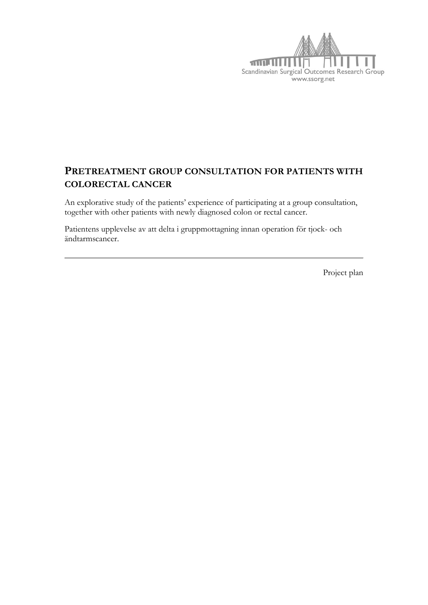

# **PRETREATMENT GROUP CONSULTATION FOR PATIENTS WITH COLORECTAL CANCER**

An explorative study of the patients' experience of participating at a group consultation, together with other patients with newly diagnosed colon or rectal cancer.

Patientens upplevelse av att delta i gruppmottagning innan operation för tjock- och ändtarmscancer.

Project plan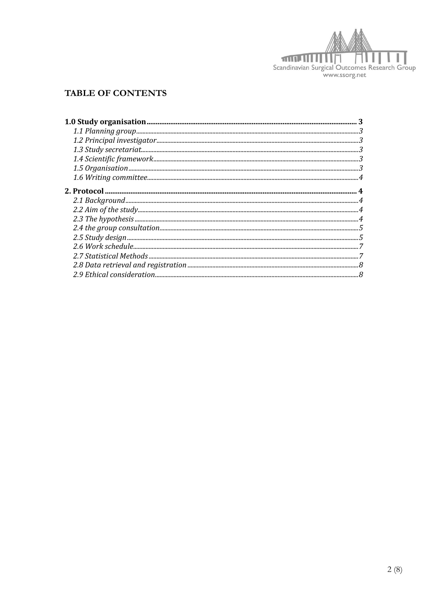

# **TABLE OF CONTENTS**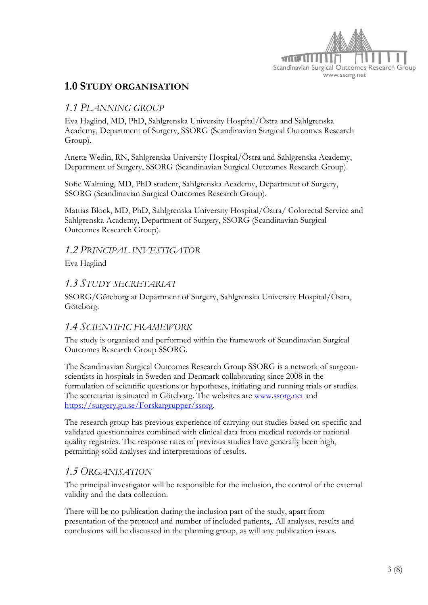

# **1.0 STUDY ORGANISATION**

## *1.1 PLANNING GROUP*

Eva Haglind, MD, PhD, Sahlgrenska University Hospital/Östra and Sahlgrenska Academy, Department of Surgery, SSORG (Scandinavian Surgical Outcomes Research Group).

Anette Wedin, RN, Sahlgrenska University Hospital/Östra and Sahlgrenska Academy, Department of Surgery, SSORG (Scandinavian Surgical Outcomes Research Group).

Sofie Walming, MD, PhD student, Sahlgrenska Academy, Department of Surgery, SSORG (Scandinavian Surgical Outcomes Research Group).

Mattias Block, MD, PhD, Sahlgrenska University Hospital/Östra/ Colorectal Service and Sahlgrenska Academy, Department of Surgery, SSORG (Scandinavian Surgical Outcomes Research Group).

*1.2 PRINCIPAL INVESTIGATOR*

Eva Haglind

## *1.3 STUDY SECRETARIAT*

SSORG/Göteborg at Department of Surgery, Sahlgrenska University Hospital/Östra, Göteborg.

## *1.4 SCIENTIFIC FRAMEWORK*

The study is organised and performed within the framework of Scandinavian Surgical Outcomes Research Group SSORG.

The Scandinavian Surgical Outcomes Research Group SSORG is a network of surgeonscientists in hospitals in Sweden and Denmark collaborating since 2008 in the formulation of scientific questions or hypotheses, initiating and running trials or studies. The secretariat is situated in Göteborg. The websites are [www.ssorg.net](http://www.ssorg.net/) and [https://surgery.gu.se/Forskargrupper/ssorg.](https://surgery.gu.se/Forskargrupper/ssorg)

The research group has previous experience of carrying out studies based on specific and validated questionnaires combined with clinical data from medical records or national quality registries. The response rates of previous studies have generally been high, permitting solid analyses and interpretations of results.

## *1.5 ORGANISATION*

The principal investigator will be responsible for the inclusion, the control of the external validity and the data collection.

There will be no publication during the inclusion part of the study, apart from presentation of the protocol and number of included patients,. All analyses, results and conclusions will be discussed in the planning group, as will any publication issues.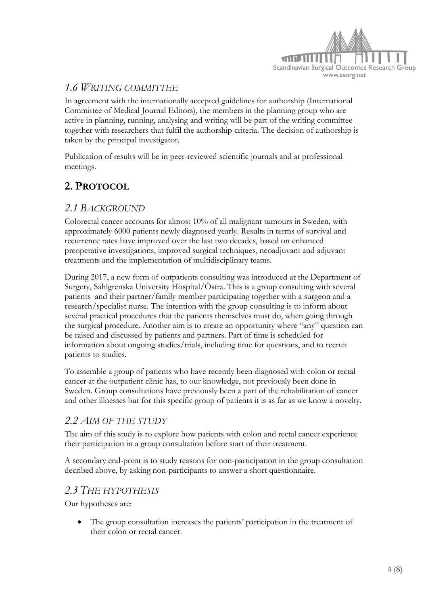

# *1.6 WRITING COMMITTEE*

In agreement with the internationally accepted guidelines for authorship (International Committee of Medical Journal Editors), the members in the planning group who are active in planning, running, analysing and writing will be part of the writing committee together with researchers that fulfil the authorship criteria. The decision of authorship is taken by the principal investigator.

Publication of results will be in peer-reviewed scientific journals and at professional meetings.

# **2. PROTOCOL**

## *2.1 BACKGROUND*

Colorectal cancer accounts for almost 10% of all malignant tumours in Sweden, with approximately 6000 patients newly diagnosed yearly. Results in terms of survival and recurrence rates have improved over the last two decades, based on enhanced preoperative investigations, improved surgical techniques, neoadjuvant and adjuvant treatments and the implementation of multidisciplinary teams.

During 2017, a new form of outpatients consulting was introduced at the Department of Surgery, Sahlgrenska University Hospital/Östra. This is a group consulting with several patients and their partner/family member participating together with a surgeon and a research/specialist nurse. The intention with the group consulting is to inform about several practical procedures that the patients themselves must do, when going through the surgical procedure. Another aim is to create an opportunity where "any" question can be raised and discussed by patients and partners. Part of time is scheduled for information about ongoing studies/trials, including time for questions, and to recruit patients to studies.

To assemble a group of patients who have recently been diagnosed with colon or rectal cancer at the outpatient clinic has, to our knowledge, not previously been done in Sweden. Group consultations have previously been a part of the rehabilitation of cancer and other illnesses but for this specific group of patients it is as far as we know a novelty.

## *2.2 AIM OF THE STUDY*

The aim of this study is to explore how patients with colon and rectal cancer experience their participation in a group consultation before start of their treatment.

A secondary end-point is to study reasons for non-participation in the group consultation decribed above, by asking non-participants to answer a short questionnaire.

## *2.3 THE HYPOTHESIS*

Our hypotheses are:

 The group consultation increases the patients' participation in the treatment of their colon or rectal cancer.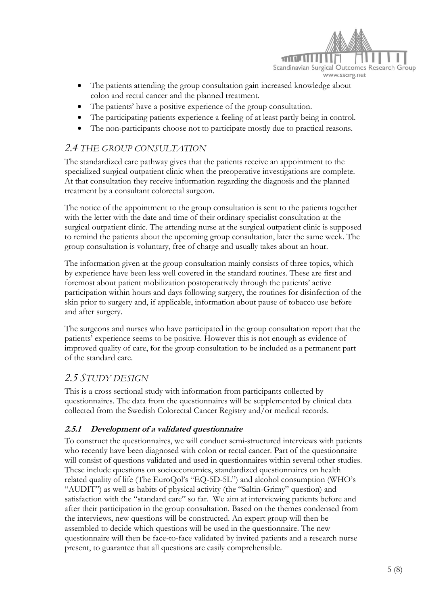

- The patients attending the group consultation gain increased knowledge about colon and rectal cancer and the planned treatment.
- The patients' have a positive experience of the group consultation.
- The participating patients experience a feeling of at least partly being in control.
- The non-participants choose not to participate mostly due to practical reasons.

## *2.4 THE GROUP CONSULTATION*

The standardized care pathway gives that the patients receive an appointment to the specialized surgical outpatient clinic when the preoperative investigations are complete. At that consultation they receive information regarding the diagnosis and the planned treatment by a consultant colorectal surgeon.

The notice of the appointment to the group consultation is sent to the patients together with the letter with the date and time of their ordinary specialist consultation at the surgical outpatient clinic. The attending nurse at the surgical outpatient clinic is supposed to remind the patients about the upcoming group consultation, later the same week. The group consultation is voluntary, free of charge and usually takes about an hour.

The information given at the group consultation mainly consists of three topics, which by experience have been less well covered in the standard routines. These are first and foremost about patient mobilization postoperatively through the patients' active participation within hours and days following surgery, the routines for disinfection of the skin prior to surgery and, if applicable, information about pause of tobacco use before and after surgery.

The surgeons and nurses who have participated in the group consultation report that the patients' experience seems to be positive. However this is not enough as evidence of improved quality of care, for the group consultation to be included as a permanent part of the standard care.

## *2.5 STUDY DESIGN*

This is a cross sectional study with information from participants collected by questionnaires. The data from the questionnaires will be supplemented by clinical data collected from the Swedish Colorectal Cancer Registry and/or medical records.

## **2.5.1 Development of a validated questionnaire**

To construct the questionnaires, we will conduct semi-structured interviews with patients who recently have been diagnosed with colon or rectal cancer. Part of the questionnaire will consist of questions validated and used in questionnaires within several other studies. These include questions on socioeconomics, standardized questionnaires on health related quality of life (The EuroQol's "EQ-5D-5L") and alcohol consumption (WHO's "AUDIT") as well as habits of physical activity (the "Saltin-Grimy" question) and satisfaction with the "standard care" so far. We aim at interviewing patients before and after their participation in the group consultation. Based on the themes condensed from the interviews, new questions will be constructed. An expert group will then be assembled to decide which questions will be used in the questionnaire. The new questionnaire will then be face-to-face validated by invited patients and a research nurse present, to guarantee that all questions are easily comprehensible.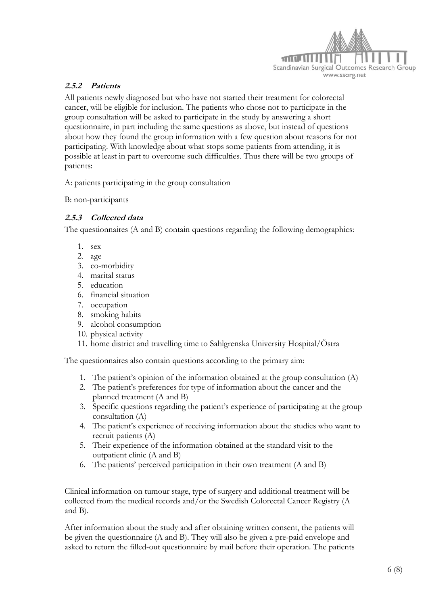

#### **2.5.2 Patients**

All patients newly diagnosed but who have not started their treatment for colorectal cancer, will be eligible for inclusion. The patients who chose not to participate in the group consultation will be asked to participate in the study by answering a short questionnaire, in part including the same questions as above, but instead of questions about how they found the group information with a few question about reasons for not participating. With knowledge about what stops some patients from attending, it is possible at least in part to overcome such difficulties. Thus there will be two groups of patients:

A: patients participating in the group consultation

B: non-participants

#### **2.5.3 Collected data**

The questionnaires (A and B) contain questions regarding the following demographics:

- 1. sex
- 2. age
- 3. co-morbidity
- 4. marital status
- 5. education
- 6. financial situation
- 7. occupation
- 8. smoking habits
- 9. alcohol consumption
- 10. physical activity
- 11. home district and travelling time to Sahlgrenska University Hospital/Östra

The questionnaires also contain questions according to the primary aim:

- 1. The patient's opinion of the information obtained at the group consultation (A)
- 2. The patient's preferences for type of information about the cancer and the planned treatment (A and B)
- 3. Specific questions regarding the patient's experience of participating at the group consultation (A)
- 4. The patient's experience of receiving information about the studies who want to recruit patients (A)
- 5. Their experience of the information obtained at the standard visit to the outpatient clinic (A and B)
- 6. The patients' perceived participation in their own treatment (A and B)

Clinical information on tumour stage, type of surgery and additional treatment will be collected from the medical records and/or the Swedish Colorectal Cancer Registry (A and B).

After information about the study and after obtaining written consent, the patients will be given the questionnaire (A and B). They will also be given a pre-paid envelope and asked to return the filled-out questionnaire by mail before their operation. The patients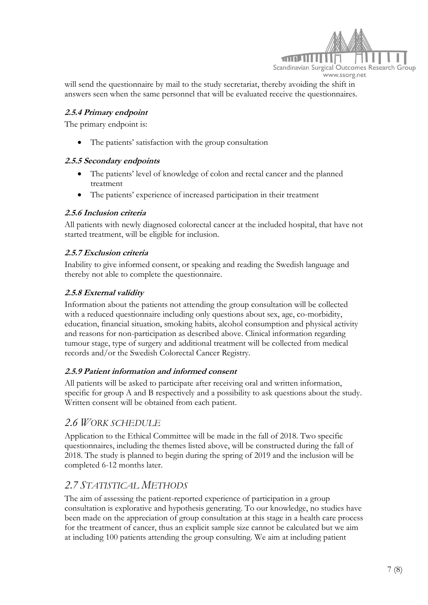

will send the questionnaire by mail to the study secretariat, thereby avoiding the shift in answers seen when the same personnel that will be evaluated receive the questionnaires.

#### **2.5.4 Primary endpoint**

The primary endpoint is:

The patients' satisfaction with the group consultation

#### **2.5.5 Secondary endpoints**

- The patients' level of knowledge of colon and rectal cancer and the planned treatment
- The patients' experience of increased participation in their treatment

#### **2.5.6 Inclusion criteria**

All patients with newly diagnosed colorectal cancer at the included hospital, that have not started treatment, will be eligible for inclusion.

#### **2.5.7 Exclusion criteria**

Inability to give informed consent, or speaking and reading the Swedish language and thereby not able to complete the questionnaire.

#### **2.5.8 External validity**

Information about the patients not attending the group consultation will be collected with a reduced questionnaire including only questions about sex, age, co-morbidity, education, financial situation, smoking habits, alcohol consumption and physical activity and reasons for non-participation as described above. Clinical information regarding tumour stage, type of surgery and additional treatment will be collected from medical records and/or the Swedish Colorectal Cancer Registry.

#### **2.5.9 Patient information and informed consent**

All patients will be asked to participate after receiving oral and written information, specific for group A and B respectively and a possibility to ask questions about the study. Written consent will be obtained from each patient.

## *2.6 WORK SCHEDULE*

Application to the Ethical Committee will be made in the fall of 2018. Two specific questionnaires, including the themes listed above, will be constructed during the fall of 2018. The study is planned to begin during the spring of 2019 and the inclusion will be completed 6-12 months later.

## *2.7 STATISTICAL METHODS*

The aim of assessing the patient-reported experience of participation in a group consultation is explorative and hypothesis generating. To our knowledge, no studies have been made on the appreciation of group consultation at this stage in a health care process for the treatment of cancer, thus an explicit sample size cannot be calculated but we aim at including 100 patients attending the group consulting. We aim at including patient